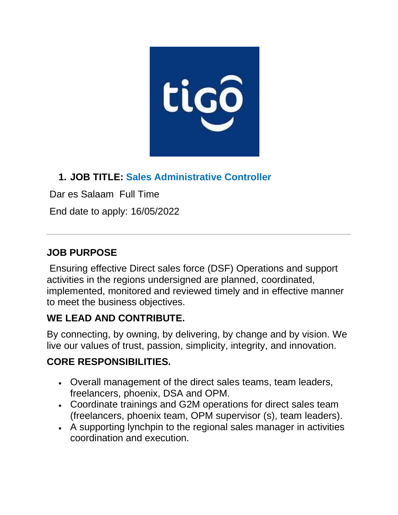

## **1. JOB TITLE: Sales Administrative Controller**

Dar es Salaam Full Time

End date to apply: 16/05/2022

### **JOB PURPOSE**

Ensuring effective Direct sales force (DSF) Operations and support activities in the regions undersigned are planned, coordinated, implemented, monitored and reviewed timely and in effective manner to meet the business objectives.

## **WE LEAD AND CONTRIBUTE.**

By connecting, by owning, by delivering, by change and by vision. We live our values of trust, passion, simplicity, integrity, and innovation.

# **CORE RESPONSIBILITIES.**

- Overall management of the direct sales teams, team leaders, freelancers, phoenix, DSA and OPM.
- Coordinate trainings and G2M operations for direct sales team (freelancers, phoenix team, OPM supervisor (s), team leaders).
- A supporting lynchpin to the regional sales manager in activities coordination and execution.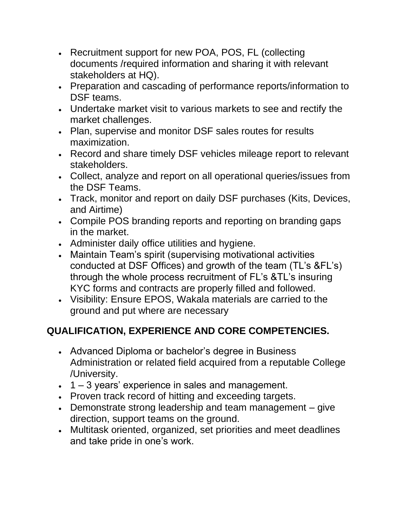- Recruitment support for new POA, POS, FL (collecting documents /required information and sharing it with relevant stakeholders at HQ).
- Preparation and cascading of performance reports/information to DSF teams.
- Undertake market visit to various markets to see and rectify the market challenges.
- Plan, supervise and monitor DSF sales routes for results maximization.
- Record and share timely DSF vehicles mileage report to relevant stakeholders.
- Collect, analyze and report on all operational queries/issues from the DSF Teams.
- Track, monitor and report on daily DSF purchases (Kits, Devices, and Airtime)
- Compile POS branding reports and reporting on branding gaps in the market.
- Administer daily office utilities and hygiene.
- Maintain Team's spirit (supervising motivational activities conducted at DSF Offices) and growth of the team (TL's &FL's) through the whole process recruitment of FL's &TL's insuring KYC forms and contracts are properly filled and followed.
- Visibility: Ensure EPOS, Wakala materials are carried to the ground and put where are necessary

## **QUALIFICATION, EXPERIENCE AND CORE COMPETENCIES.**

- Advanced Diploma or bachelor's degree in Business Administration or related field acquired from a reputable College /University.
- $\cdot$  1 3 years' experience in sales and management.
- Proven track record of hitting and exceeding targets.
- Demonstrate strong leadership and team management give direction, support teams on the ground.
- Multitask oriented, organized, set priorities and meet deadlines and take pride in one's work.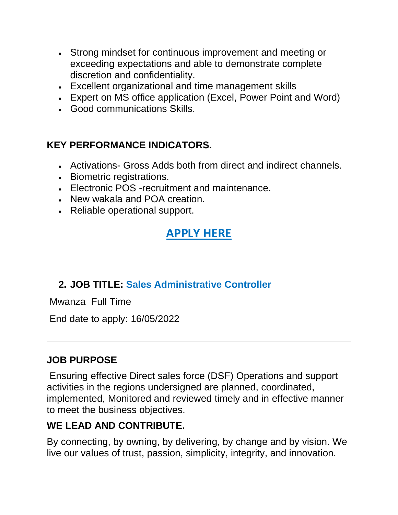- Strong mindset for continuous improvement and meeting or exceeding expectations and able to demonstrate complete discretion and confidentiality.
- Excellent organizational and time management skills
- Expert on MS office application (Excel, Power Point and Word)
- Good communications Skills.

#### **KEY PERFORMANCE INDICATORS.**

- Activations- Gross Adds both from direct and indirect channels.
- Biometric registrations.
- Electronic POS -recruitment and maintenance.
- New wakala and POA creation.
- Reliable operational support.

# **[APPLY HERE](https://www.tigo.co.tz/careers?job=2)**

#### **2. JOB TITLE: Sales Administrative Controller**

Mwanza Full Time

End date to apply: 16/05/2022

#### **JOB PURPOSE**

Ensuring effective Direct sales force (DSF) Operations and support activities in the regions undersigned are planned, coordinated, implemented, Monitored and reviewed timely and in effective manner to meet the business objectives.

#### **WE LEAD AND CONTRIBUTE.**

By connecting, by owning, by delivering, by change and by vision. We live our values of trust, passion, simplicity, integrity, and innovation.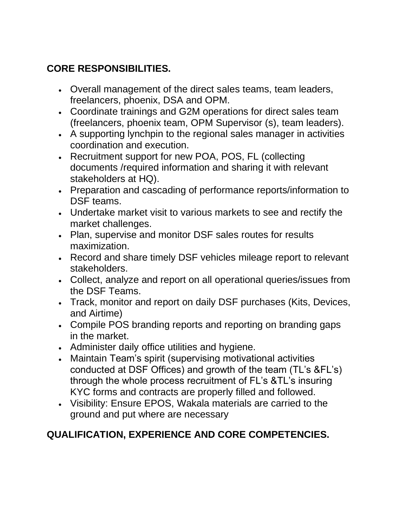### **CORE RESPONSIBILITIES.**

- Overall management of the direct sales teams, team leaders, freelancers, phoenix, DSA and OPM.
- Coordinate trainings and G2M operations for direct sales team (freelancers, phoenix team, OPM Supervisor (s), team leaders).
- A supporting lynchpin to the regional sales manager in activities coordination and execution.
- Recruitment support for new POA, POS, FL (collecting documents /required information and sharing it with relevant stakeholders at HQ).
- Preparation and cascading of performance reports/information to DSF teams.
- Undertake market visit to various markets to see and rectify the market challenges.
- Plan, supervise and monitor DSF sales routes for results maximization.
- Record and share timely DSF vehicles mileage report to relevant stakeholders.
- Collect, analyze and report on all operational queries/issues from the DSF Teams.
- Track, monitor and report on daily DSF purchases (Kits, Devices, and Airtime)
- Compile POS branding reports and reporting on branding gaps in the market.
- Administer daily office utilities and hygiene.
- Maintain Team's spirit (supervising motivational activities conducted at DSF Offices) and growth of the team (TL's &FL's) through the whole process recruitment of FL's &TL's insuring KYC forms and contracts are properly filled and followed.
- Visibility: Ensure EPOS, Wakala materials are carried to the ground and put where are necessary

### **QUALIFICATION, EXPERIENCE AND CORE COMPETENCIES.**